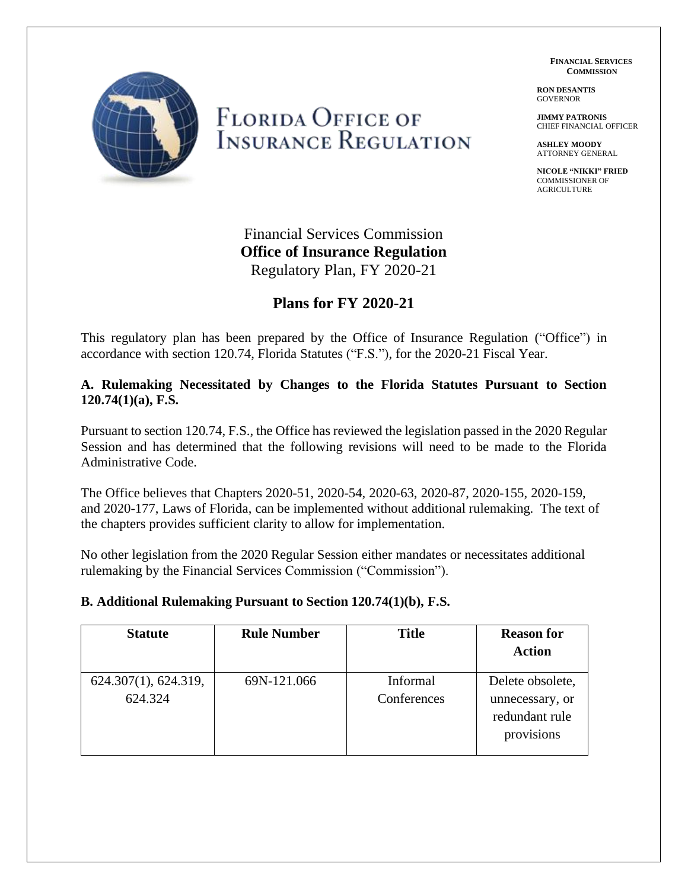**FINANCIAL SERVICES COMMISSION**

**RON DESANTIS** GOVERNOR

**JIMMY PATRONIS** CHIEF FINANCIAL OFFICER

**ASHLEY MOODY** ATTORNEY GENERAL

**NICOLE "NIKKI" FRIED** COMMISSIONER OF AGRICULTURE



# **FLORIDA OFFICE OF INSURANCE REGULATION**

Financial Services Commission **Office of Insurance Regulation** Regulatory Plan, FY 2020-21

## **Plans for FY 2020-21**

This regulatory plan has been prepared by the Office of Insurance Regulation ("Office") in accordance with section 120.74, Florida Statutes ("F.S."), for the 2020-21 Fiscal Year.

#### **A. Rulemaking Necessitated by Changes to the Florida Statutes Pursuant to Section 120.74(1)(a), F.S.**

Pursuant to section 120.74, F.S., the Office has reviewed the legislation passed in the 2020 Regular Session and has determined that the following revisions will need to be made to the Florida Administrative Code.

The Office believes that Chapters 2020-51, 2020-54, 2020-63, 2020-87, 2020-155, 2020-159, and 2020-177, Laws of Florida, can be implemented without additional rulemaking. The text of the chapters provides sufficient clarity to allow for implementation.

No other legislation from the 2020 Regular Session either mandates or necessitates additional rulemaking by the Financial Services Commission ("Commission").

#### **B. Additional Rulemaking Pursuant to Section 120.74(1)(b), F.S.**

| <b>Statute</b>                  | <b>Rule Number</b> | <b>Title</b>            | <b>Reason for</b><br><b>Action</b>                                  |
|---------------------------------|--------------------|-------------------------|---------------------------------------------------------------------|
| 624.307(1), 624.319,<br>624.324 | 69N-121.066        | Informal<br>Conferences | Delete obsolete,<br>unnecessary, or<br>redundant rule<br>provisions |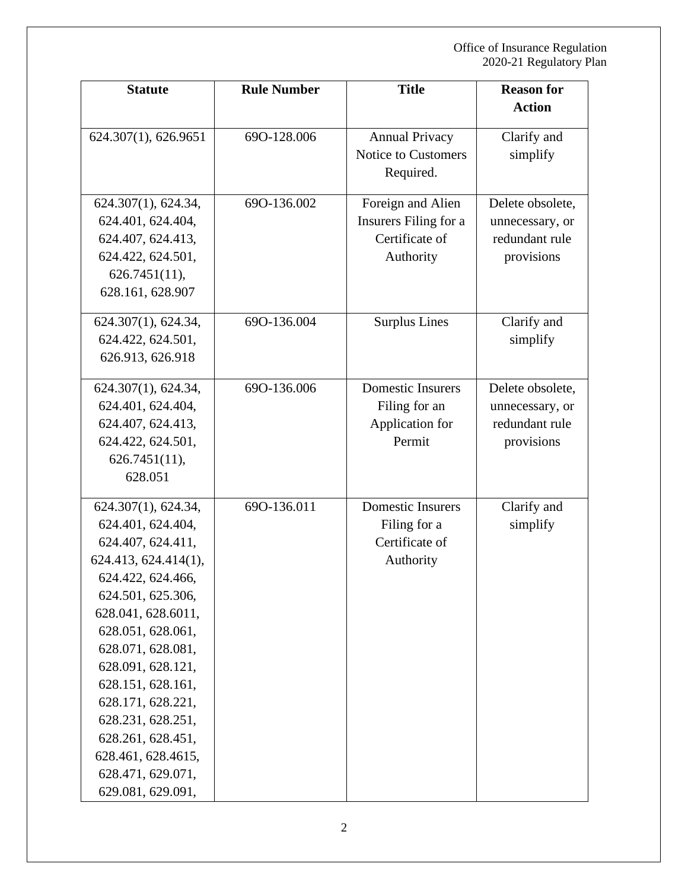| <b>Statute</b>                                                                                                                                                                                                                                                                                                                                                           | <b>Rule Number</b> | <b>Title</b>                                                              | <b>Reason for</b>                                                   |
|--------------------------------------------------------------------------------------------------------------------------------------------------------------------------------------------------------------------------------------------------------------------------------------------------------------------------------------------------------------------------|--------------------|---------------------------------------------------------------------------|---------------------------------------------------------------------|
|                                                                                                                                                                                                                                                                                                                                                                          |                    |                                                                           | <b>Action</b>                                                       |
| 624.307(1), 626.9651                                                                                                                                                                                                                                                                                                                                                     | 690-128.006        | <b>Annual Privacy</b><br>Notice to Customers<br>Required.                 | Clarify and<br>simplify                                             |
| 624.307(1), 624.34,<br>624.401, 624.404,<br>624.407, 624.413,<br>624.422, 624.501,<br>$626.7451(11)$ ,<br>628.161, 628.907                                                                                                                                                                                                                                               | 690-136.002        | Foreign and Alien<br>Insurers Filing for a<br>Certificate of<br>Authority | Delete obsolete,<br>unnecessary, or<br>redundant rule<br>provisions |
| 624.307(1), 624.34,<br>624.422, 624.501,<br>626.913, 626.918                                                                                                                                                                                                                                                                                                             | 690-136.004        | <b>Surplus Lines</b>                                                      | Clarify and<br>simplify                                             |
| 624.307(1), 624.34,<br>624.401, 624.404,<br>624.407, 624.413,<br>624.422, 624.501,<br>$626.7451(11)$ ,<br>628.051                                                                                                                                                                                                                                                        | 690-136.006        | <b>Domestic Insurers</b><br>Filing for an<br>Application for<br>Permit    | Delete obsolete,<br>unnecessary, or<br>redundant rule<br>provisions |
| 624.307(1), 624.34,<br>624.401, 624.404,<br>624.407, 624.411,<br>624.413, 624.414(1),<br>624.422, 624.466,<br>624.501, 625.306,<br>628.041, 628.6011,<br>628.051, 628.061,<br>628.071, 628.081,<br>628.091, 628.121,<br>628.151, 628.161,<br>628.171, 628.221,<br>628.231, 628.251,<br>628.261, 628.451,<br>628.461, 628.4615,<br>628.471, 629.071,<br>629.081, 629.091, | 690-136.011        | <b>Domestic Insurers</b><br>Filing for a<br>Certificate of<br>Authority   | Clarify and<br>simplify                                             |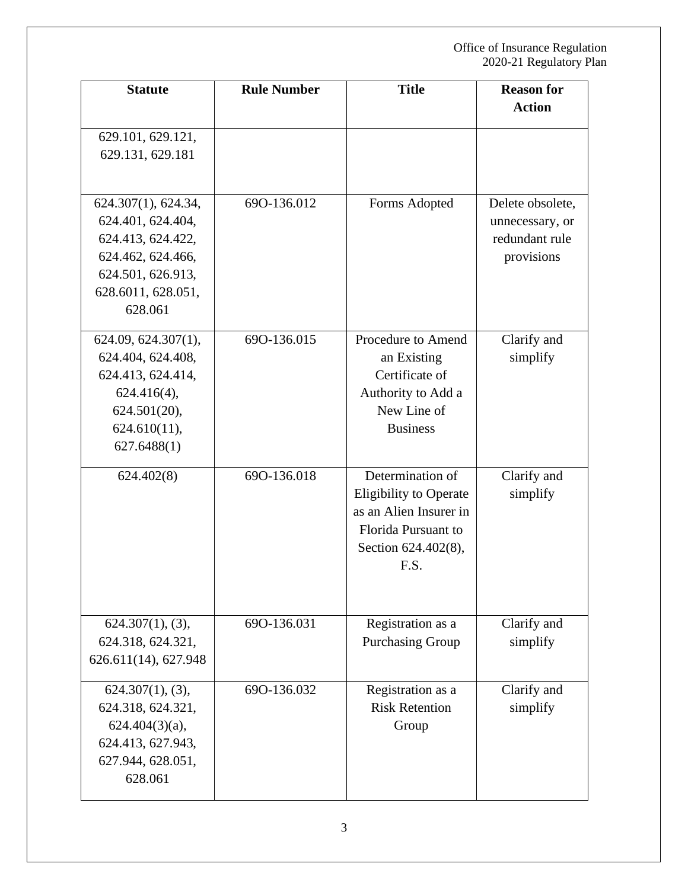| <b>Statute</b>                                                                                                                           | <b>Rule Number</b> | <b>Title</b>                                                                                                                      | <b>Reason for</b><br><b>Action</b>                                  |
|------------------------------------------------------------------------------------------------------------------------------------------|--------------------|-----------------------------------------------------------------------------------------------------------------------------------|---------------------------------------------------------------------|
| 629.101, 629.121,<br>629.131, 629.181                                                                                                    |                    |                                                                                                                                   |                                                                     |
| 624.307(1), 624.34,<br>624.401, 624.404,<br>624.413, 624.422,<br>624.462, 624.466,<br>624.501, 626.913,<br>628.6011, 628.051,<br>628.061 | 690-136.012        | Forms Adopted                                                                                                                     | Delete obsolete,<br>unnecessary, or<br>redundant rule<br>provisions |
| 624.09, 624.307(1),<br>624.404, 624.408,<br>624.413, 624.414,<br>$624.416(4)$ ,<br>$624.501(20)$ ,<br>$624.610(11)$ ,<br>627.6488(1)     | 690-136.015        | Procedure to Amend<br>an Existing<br>Certificate of<br>Authority to Add a<br>New Line of<br><b>Business</b>                       | Clarify and<br>simplify                                             |
| 624.402(8)                                                                                                                               | 690-136.018        | Determination of<br><b>Eligibility to Operate</b><br>as an Alien Insurer in<br>Florida Pursuant to<br>Section 624.402(8),<br>F.S. | Clarify and<br>simplify                                             |
| 624.307(1), (3),<br>624.318, 624.321,<br>626.611(14), 627.948                                                                            | 690-136.031        | Registration as a<br><b>Purchasing Group</b>                                                                                      | Clarify and<br>simplify                                             |
| 624.307(1), (3),<br>624.318, 624.321,<br>$624.404(3)(a)$ ,<br>624.413, 627.943,<br>627.944, 628.051,<br>628.061                          | 690-136.032        | Registration as a<br><b>Risk Retention</b><br>Group                                                                               | Clarify and<br>simplify                                             |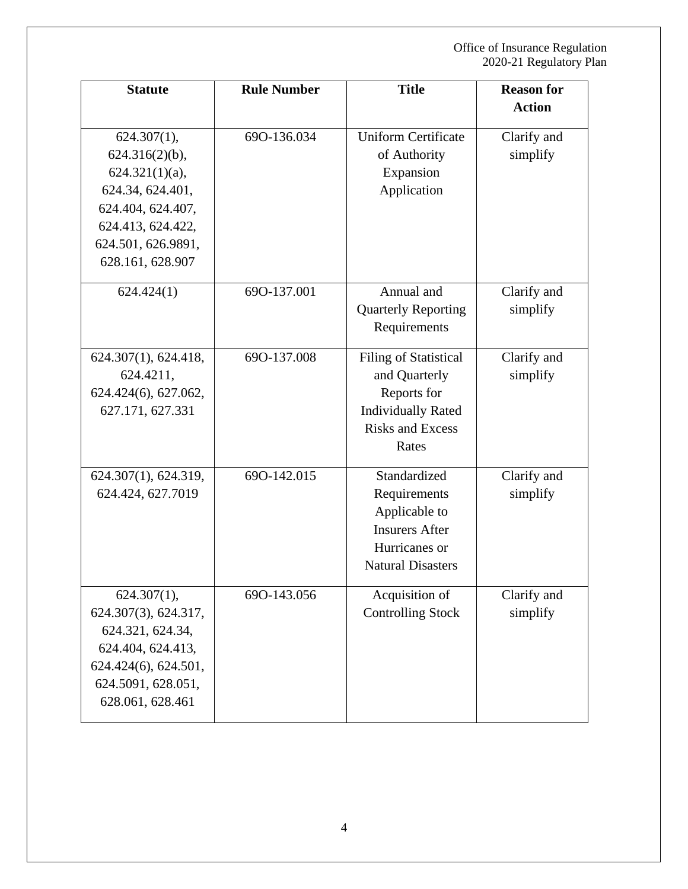| <b>Statute</b>                                                                                                                                                   | <b>Rule Number</b> | <b>Title</b>                                                                                                           | <b>Reason for</b><br><b>Action</b> |
|------------------------------------------------------------------------------------------------------------------------------------------------------------------|--------------------|------------------------------------------------------------------------------------------------------------------------|------------------------------------|
| $624.307(1)$ ,<br>$624.316(2)(b)$ ,<br>$624.321(1)(a)$ ,<br>624.34, 624.401,<br>624.404, 624.407,<br>624.413, 624.422,<br>624.501, 626.9891,<br>628.161, 628.907 | 690-136.034        | <b>Uniform Certificate</b><br>of Authority<br>Expansion<br>Application                                                 | Clarify and<br>simplify            |
| 624.424(1)                                                                                                                                                       | 690-137.001        | Annual and<br><b>Quarterly Reporting</b><br>Requirements                                                               | Clarify and<br>simplify            |
| 624.307(1), 624.418,<br>624.4211,<br>624.424(6), 627.062,<br>627.171, 627.331                                                                                    | 690-137.008        | Filing of Statistical<br>and Quarterly<br>Reports for<br><b>Individually Rated</b><br><b>Risks and Excess</b><br>Rates | Clarify and<br>simplify            |
| 624.307(1), 624.319,<br>624.424, 627.7019                                                                                                                        | 690-142.015        | Standardized<br>Requirements<br>Applicable to<br><b>Insurers After</b><br>Hurricanes or<br><b>Natural Disasters</b>    | Clarify and<br>simplify            |
| $624.307(1)$ ,<br>624.307(3), 624.317,<br>624.321, 624.34,<br>624.404, 624.413,<br>624.424(6), 624.501,<br>624.5091, 628.051,<br>628.061, 628.461                | 690-143.056        | Acquisition of<br><b>Controlling Stock</b>                                                                             | Clarify and<br>simplify            |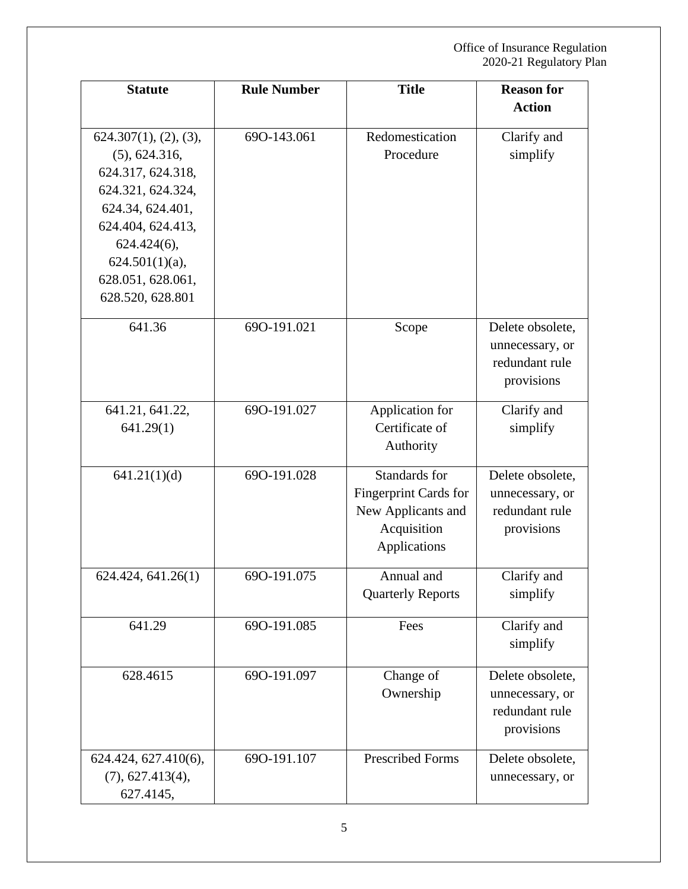| <b>Statute</b>                                                                                                                                                                                            | <b>Rule Number</b> | <b>Title</b>                                                                                | <b>Reason for</b>                                                   |
|-----------------------------------------------------------------------------------------------------------------------------------------------------------------------------------------------------------|--------------------|---------------------------------------------------------------------------------------------|---------------------------------------------------------------------|
|                                                                                                                                                                                                           |                    |                                                                                             | <b>Action</b>                                                       |
| 624.307(1), (2), (3),<br>(5), 624.316,<br>624.317, 624.318,<br>624.321, 624.324,<br>624.34, 624.401,<br>624.404, 624.413,<br>$624.424(6)$ ,<br>$624.501(1)(a)$ ,<br>628.051, 628.061,<br>628.520, 628.801 | 690-143.061        | Redomestication<br>Procedure                                                                | Clarify and<br>simplify                                             |
| 641.36                                                                                                                                                                                                    | 690-191.021        | Scope                                                                                       | Delete obsolete,<br>unnecessary, or<br>redundant rule<br>provisions |
| 641.21, 641.22,<br>641.29(1)                                                                                                                                                                              | 690-191.027        | Application for<br>Certificate of<br>Authority                                              | Clarify and<br>simplify                                             |
| 641.21(1)(d)                                                                                                                                                                                              | 690-191.028        | Standards for<br>Fingerprint Cards for<br>New Applicants and<br>Acquisition<br>Applications | Delete obsolete,<br>unnecessary, or<br>redundant rule<br>provisions |
| 624.424, 641.26(1)                                                                                                                                                                                        | 690-191.075        | Annual and<br><b>Quarterly Reports</b>                                                      | Clarify and<br>simplify                                             |
| 641.29                                                                                                                                                                                                    | 690-191.085        | Fees                                                                                        | Clarify and<br>simplify                                             |
| 628.4615                                                                                                                                                                                                  | 690-191.097        | Change of<br>Ownership                                                                      | Delete obsolete,<br>unnecessary, or<br>redundant rule<br>provisions |
| 624.424, 627.410(6),<br>(7), 627.413(4),<br>627.4145,                                                                                                                                                     | 690-191.107        | <b>Prescribed Forms</b>                                                                     | Delete obsolete,<br>unnecessary, or                                 |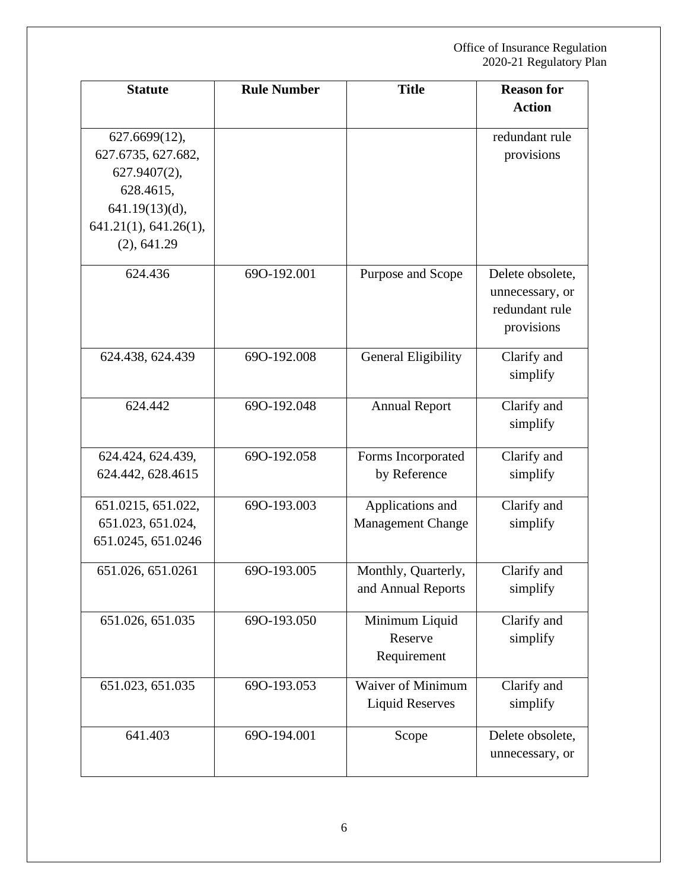| <b>Statute</b>                                                   | <b>Rule Number</b> | <b>Title</b>                                       | <b>Reason for</b>                                                   |
|------------------------------------------------------------------|--------------------|----------------------------------------------------|---------------------------------------------------------------------|
|                                                                  |                    |                                                    | <b>Action</b>                                                       |
| 627.6699(12),<br>627.6735, 627.682,<br>627.9407(2),<br>628.4615, |                    |                                                    | redundant rule<br>provisions                                        |
| $641.19(13)(d)$ ,<br>641.21(1), 641.26(1),<br>(2), 641.29        |                    |                                                    |                                                                     |
| 624.436                                                          | 690-192.001        | Purpose and Scope                                  | Delete obsolete,<br>unnecessary, or<br>redundant rule<br>provisions |
| 624.438, 624.439                                                 | 690-192.008        | General Eligibility                                | Clarify and<br>simplify                                             |
| 624.442                                                          | 690-192.048        | <b>Annual Report</b>                               | Clarify and<br>simplify                                             |
| 624.424, 624.439,<br>624.442, 628.4615                           | 690-192.058        | Forms Incorporated<br>by Reference                 | Clarify and<br>simplify                                             |
| 651.0215, 651.022,<br>651.023, 651.024,<br>651.0245, 651.0246    | 690-193.003        | Applications and<br><b>Management Change</b>       | Clarify and<br>simplify                                             |
| 651.026, 651.0261                                                | 690-193.005        | Monthly, Quarterly,<br>and Annual Reports          | Clarify and<br>simplify                                             |
| 651.026, 651.035                                                 | 690-193.050        | Minimum Liquid<br>Reserve<br>Requirement           | Clarify and<br>simplify                                             |
| 651.023, 651.035                                                 | 690-193.053        | <b>Waiver of Minimum</b><br><b>Liquid Reserves</b> | Clarify and<br>simplify                                             |
| 641.403                                                          | 690-194.001        | Scope                                              | Delete obsolete,<br>unnecessary, or                                 |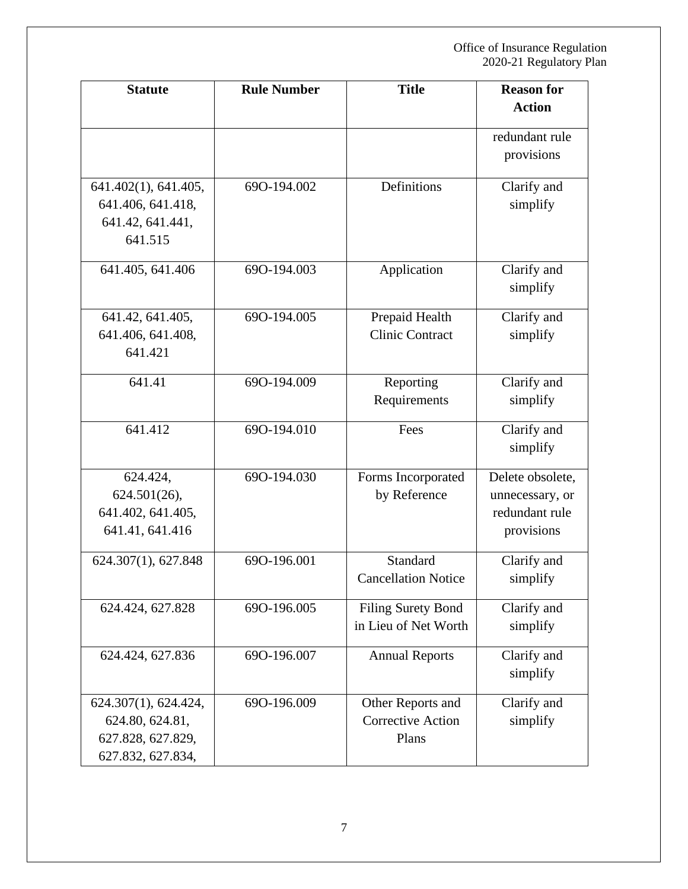| <b>Statute</b>       | <b>Rule Number</b> | <b>Title</b>               | <b>Reason for</b><br><b>Action</b> |
|----------------------|--------------------|----------------------------|------------------------------------|
|                      |                    |                            |                                    |
|                      |                    |                            | redundant rule                     |
|                      |                    |                            | provisions                         |
| 641.402(1), 641.405, | 690-194.002        | Definitions                | Clarify and                        |
| 641.406, 641.418,    |                    |                            | simplify                           |
| 641.42, 641.441,     |                    |                            |                                    |
| 641.515              |                    |                            |                                    |
| 641.405, 641.406     | 690-194.003        | Application                | Clarify and                        |
|                      |                    |                            | simplify                           |
| 641.42, 641.405,     | 690-194.005        | Prepaid Health             | Clarify and                        |
| 641.406, 641.408,    |                    | <b>Clinic Contract</b>     | simplify                           |
| 641.421              |                    |                            |                                    |
| 641.41               | 690-194.009        | Reporting                  | Clarify and                        |
|                      |                    | Requirements               | simplify                           |
| 641.412              | 690-194.010        | Fees                       | Clarify and                        |
|                      |                    |                            | simplify                           |
| 624.424,             | 690-194.030        | Forms Incorporated         | Delete obsolete,                   |
| 624.501(26),         |                    | by Reference               | unnecessary, or                    |
| 641.402, 641.405,    |                    |                            | redundant rule                     |
| 641.41, 641.416      |                    |                            | provisions                         |
| 624.307(1), 627.848  | 690-196.001        | Standard                   | Clarify and                        |
|                      |                    | <b>Cancellation Notice</b> | simplify                           |
| 624.424, 627.828     | 690-196.005        | <b>Filing Surety Bond</b>  | Clarify and                        |
|                      |                    | in Lieu of Net Worth       | simplify                           |
| 624.424, 627.836     | 690-196.007        | <b>Annual Reports</b>      | Clarify and                        |
|                      |                    |                            | simplify                           |
| 624.307(1), 624.424, | 690-196.009        | Other Reports and          | Clarify and                        |
| 624.80, 624.81,      |                    | <b>Corrective Action</b>   | simplify                           |
| 627.828, 627.829,    |                    | Plans                      |                                    |
| 627.832, 627.834,    |                    |                            |                                    |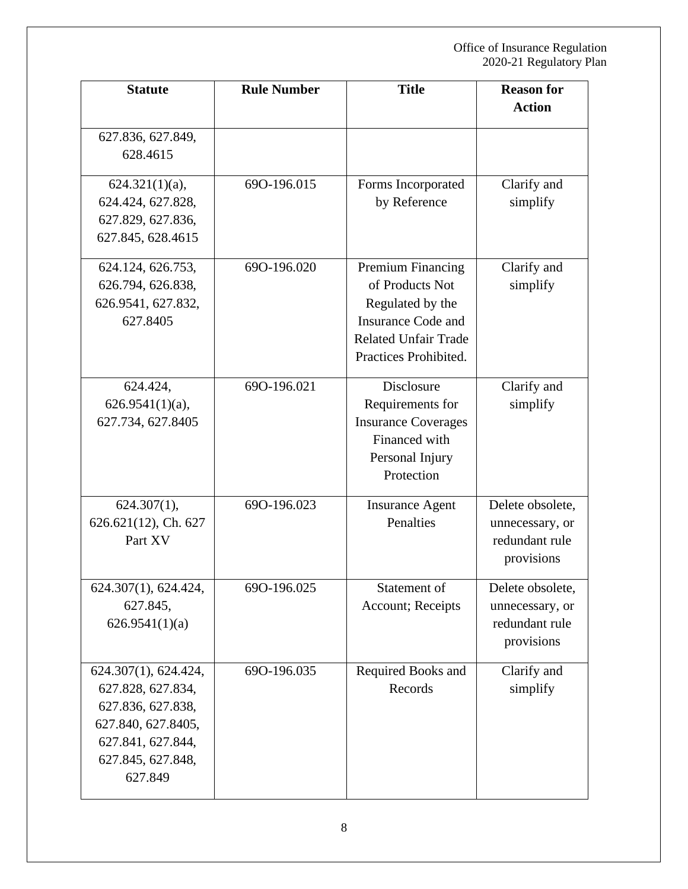| <b>Statute</b>                                                                                                                            | <b>Rule Number</b> | <b>Title</b>                                                                                                                                  | <b>Reason for</b><br><b>Action</b>                                  |
|-------------------------------------------------------------------------------------------------------------------------------------------|--------------------|-----------------------------------------------------------------------------------------------------------------------------------------------|---------------------------------------------------------------------|
| 627.836, 627.849,<br>628.4615                                                                                                             |                    |                                                                                                                                               |                                                                     |
| $624.321(1)(a)$ ,<br>624.424, 627.828,<br>627.829, 627.836,<br>627.845, 628.4615                                                          | 690-196.015        | Forms Incorporated<br>by Reference                                                                                                            | Clarify and<br>simplify                                             |
| 624.124, 626.753,<br>626.794, 626.838,<br>626.9541, 627.832,<br>627.8405                                                                  | 690-196.020        | Premium Financing<br>of Products Not<br>Regulated by the<br><b>Insurance Code and</b><br><b>Related Unfair Trade</b><br>Practices Prohibited. | Clarify and<br>simplify                                             |
| 624.424,<br>$626.9541(1)(a)$ ,<br>627.734, 627.8405                                                                                       | 690-196.021        | Disclosure<br>Requirements for<br><b>Insurance Coverages</b><br>Financed with<br>Personal Injury<br>Protection                                | Clarify and<br>simplify                                             |
| $624.307(1)$ ,<br>626.621(12), Ch. 627<br>Part XV                                                                                         | 690-196.023        | <b>Insurance Agent</b><br>Penalties                                                                                                           | Delete obsolete,<br>unnecessary, or<br>redundant rule<br>provisions |
| 624.307(1), 624.424,<br>627.845,<br>626.9541(1)(a)                                                                                        | 690-196.025        | Statement of<br>Account; Receipts                                                                                                             | Delete obsolete,<br>unnecessary, or<br>redundant rule<br>provisions |
| 624.307(1), 624.424,<br>627.828, 627.834,<br>627.836, 627.838,<br>627.840, 627.8405,<br>627.841, 627.844,<br>627.845, 627.848,<br>627.849 | 690-196.035        | Required Books and<br>Records                                                                                                                 | Clarify and<br>simplify                                             |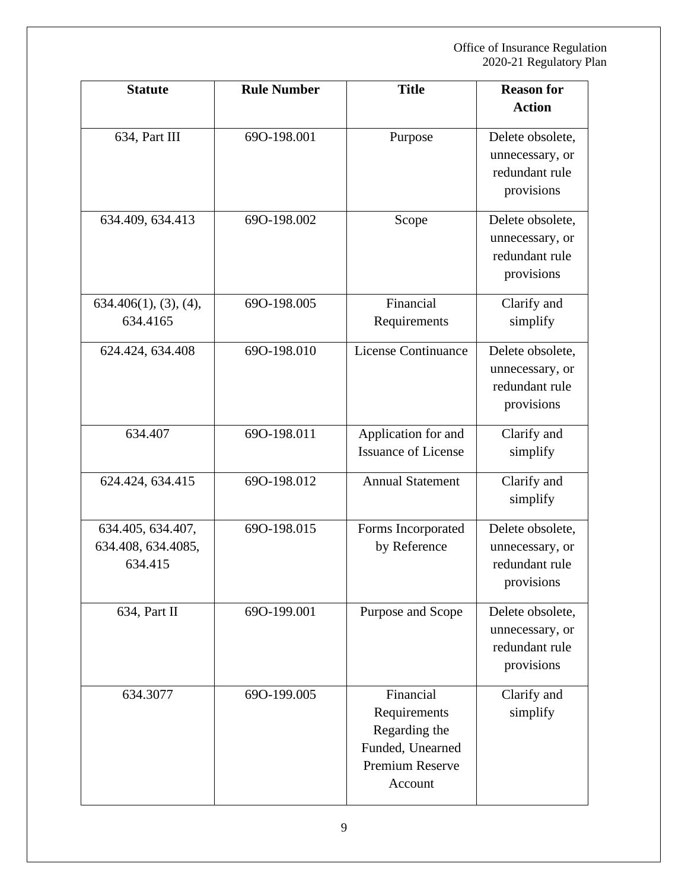| <b>Statute</b>                                     | <b>Rule Number</b> | <b>Title</b>                                                                                 | <b>Reason for</b>                                                   |
|----------------------------------------------------|--------------------|----------------------------------------------------------------------------------------------|---------------------------------------------------------------------|
|                                                    |                    |                                                                                              | <b>Action</b>                                                       |
| 634, Part III                                      | 690-198.001        | Purpose                                                                                      | Delete obsolete,<br>unnecessary, or<br>redundant rule<br>provisions |
| 634.409, 634.413                                   | 690-198.002        | Scope                                                                                        | Delete obsolete,<br>unnecessary, or<br>redundant rule<br>provisions |
| 634.406(1), (3), (4),<br>634.4165                  | 690-198.005        | Financial<br>Requirements                                                                    | Clarify and<br>simplify                                             |
| 624.424, 634.408                                   | 690-198.010        | License Continuance                                                                          | Delete obsolete,<br>unnecessary, or<br>redundant rule<br>provisions |
| 634.407                                            | 690-198.011        | Application for and<br><b>Issuance of License</b>                                            | Clarify and<br>simplify                                             |
| 624.424, 634.415                                   | 690-198.012        | <b>Annual Statement</b>                                                                      | Clarify and<br>simplify                                             |
| 634.405, 634.407,<br>634.408, 634.4085,<br>634.415 | 690-198.015        | Forms Incorporated<br>by Reference                                                           | Delete obsolete,<br>unnecessary, or<br>redundant rule<br>provisions |
| 634, Part II                                       | 690-199.001        | Purpose and Scope                                                                            | Delete obsolete,<br>unnecessary, or<br>redundant rule<br>provisions |
| 634.3077                                           | 690-199.005        | Financial<br>Requirements<br>Regarding the<br>Funded, Unearned<br>Premium Reserve<br>Account | Clarify and<br>simplify                                             |

9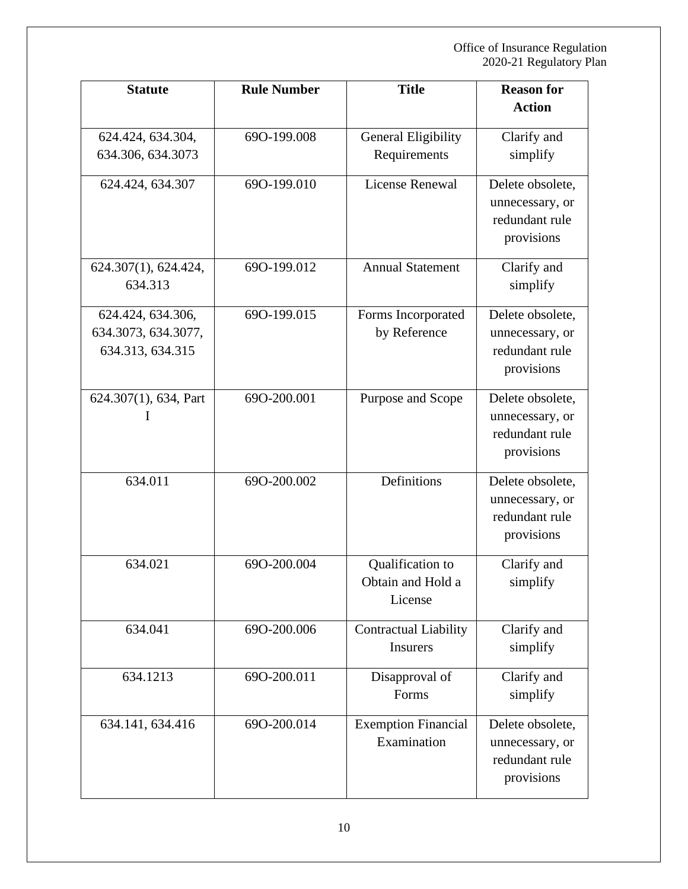| <b>Statute</b>        | <b>Rule Number</b> | <b>Title</b>                 | <b>Reason for</b> |
|-----------------------|--------------------|------------------------------|-------------------|
|                       |                    |                              | <b>Action</b>     |
| 624.424, 634.304,     | 690-199.008        | General Eligibility          | Clarify and       |
| 634.306, 634.3073     |                    | Requirements                 | simplify          |
| 624.424, 634.307      | 690-199.010        | License Renewal              | Delete obsolete,  |
|                       |                    |                              | unnecessary, or   |
|                       |                    |                              | redundant rule    |
|                       |                    |                              | provisions        |
| 624.307(1), 624.424,  | 690-199.012        | <b>Annual Statement</b>      | Clarify and       |
| 634.313               |                    |                              | simplify          |
| 624.424, 634.306,     | 690-199.015        | Forms Incorporated           | Delete obsolete,  |
| 634.3073, 634.3077,   |                    | by Reference                 | unnecessary, or   |
| 634.313, 634.315      |                    |                              | redundant rule    |
|                       |                    |                              | provisions        |
| 624.307(1), 634, Part | 690-200.001        | Purpose and Scope            | Delete obsolete,  |
| I                     |                    |                              | unnecessary, or   |
|                       |                    |                              | redundant rule    |
|                       |                    |                              | provisions        |
| 634.011               | 690-200.002        | Definitions                  | Delete obsolete,  |
|                       |                    |                              | unnecessary, or   |
|                       |                    |                              | redundant rule    |
|                       |                    |                              | provisions        |
| 634.021               | 690-200.004        | Qualification to             | Clarify and       |
|                       |                    | Obtain and Hold a            | simplify          |
|                       |                    | License                      |                   |
| 634.041               | 690-200.006        | <b>Contractual Liability</b> | Clarify and       |
|                       |                    | <b>Insurers</b>              | simplify          |
| 634.1213              | 690-200.011        | Disapproval of               | Clarify and       |
|                       |                    | Forms                        | simplify          |
| 634.141, 634.416      | 690-200.014        | <b>Exemption Financial</b>   | Delete obsolete,  |
|                       |                    | Examination                  | unnecessary, or   |
|                       |                    |                              | redundant rule    |
|                       |                    |                              | provisions        |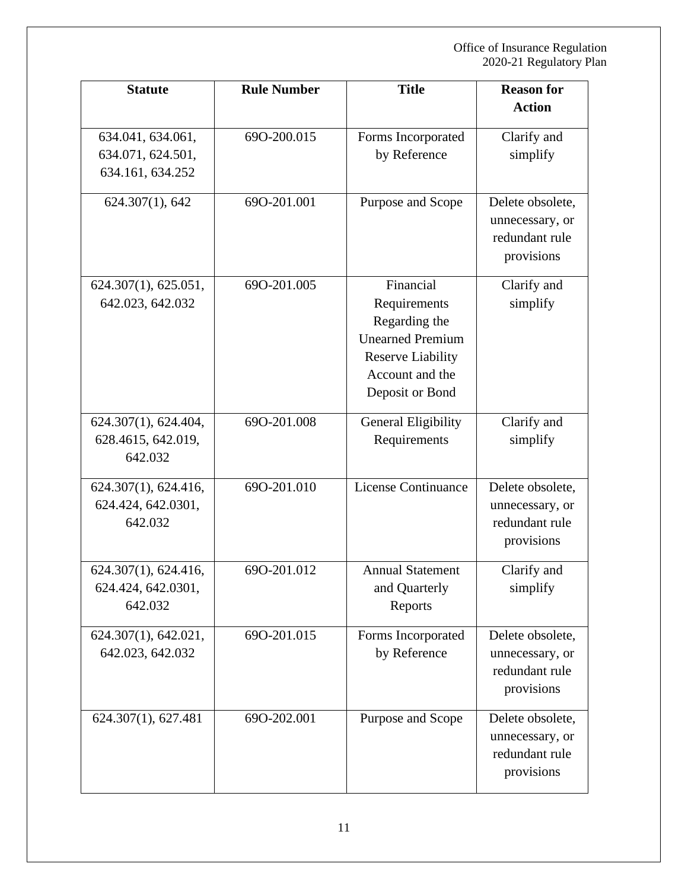| <b>Statute</b>                                             | <b>Rule Number</b> | <b>Title</b>                                                                                                                            | <b>Reason for</b>                                                   |
|------------------------------------------------------------|--------------------|-----------------------------------------------------------------------------------------------------------------------------------------|---------------------------------------------------------------------|
|                                                            |                    |                                                                                                                                         | <b>Action</b>                                                       |
| 634.041, 634.061,<br>634.071, 624.501,<br>634.161, 634.252 | 690-200.015        | Forms Incorporated<br>by Reference                                                                                                      | Clarify and<br>simplify                                             |
| 624.307(1), 642                                            | 690-201.001        | Purpose and Scope                                                                                                                       | Delete obsolete,<br>unnecessary, or<br>redundant rule<br>provisions |
| 624.307(1), 625.051,<br>642.023, 642.032                   | 690-201.005        | Financial<br>Requirements<br>Regarding the<br><b>Unearned Premium</b><br><b>Reserve Liability</b><br>Account and the<br>Deposit or Bond | Clarify and<br>simplify                                             |
| 624.307(1), 624.404,<br>628.4615, 642.019,<br>642.032      | 690-201.008        | General Eligibility<br>Requirements                                                                                                     | Clarify and<br>simplify                                             |
| 624.307(1), 624.416,<br>624.424, 642.0301,<br>642.032      | 690-201.010        | License Continuance                                                                                                                     | Delete obsolete,<br>unnecessary, or<br>redundant rule<br>provisions |
| 624.307(1), 624.416,<br>624.424, 642.0301,<br>642.032      | 690-201.012        | <b>Annual Statement</b><br>and Quarterly<br>Reports                                                                                     | Clarify and<br>simplify                                             |
| 624.307(1), 642.021,<br>642.023, 642.032                   | 690-201.015        | Forms Incorporated<br>by Reference                                                                                                      | Delete obsolete,<br>unnecessary, or<br>redundant rule<br>provisions |
| 624.307(1), 627.481                                        | 690-202.001        | Purpose and Scope                                                                                                                       | Delete obsolete,<br>unnecessary, or<br>redundant rule<br>provisions |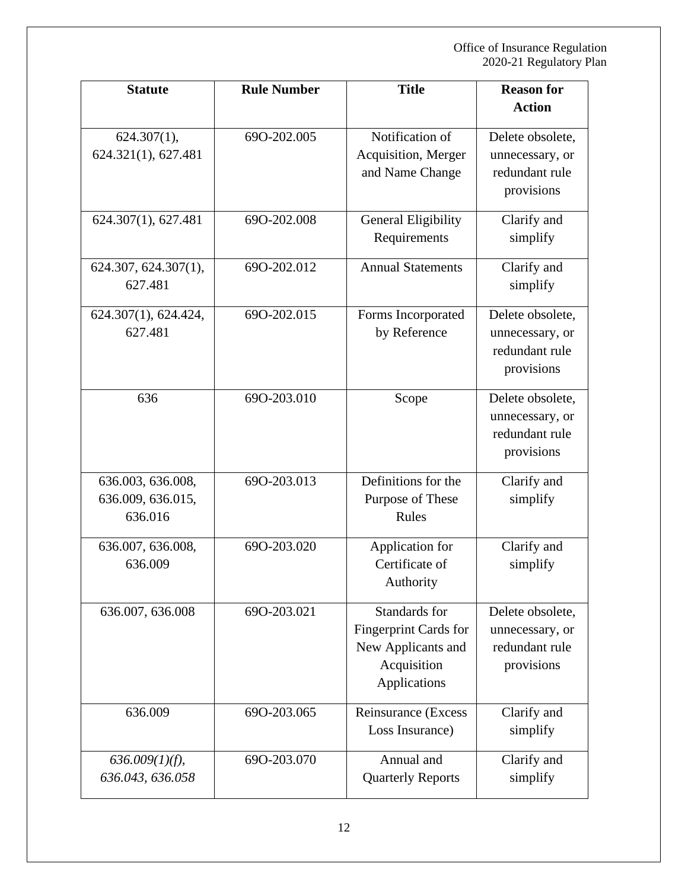| <b>Statute</b>                                    | <b>Rule Number</b> | <b>Title</b>                                                                                | <b>Reason for</b>                                                   |
|---------------------------------------------------|--------------------|---------------------------------------------------------------------------------------------|---------------------------------------------------------------------|
|                                                   |                    |                                                                                             | <b>Action</b>                                                       |
| $624.307(1)$ ,<br>624.321(1), 627.481             | 690-202.005        | Notification of<br>Acquisition, Merger<br>and Name Change                                   | Delete obsolete,<br>unnecessary, or<br>redundant rule<br>provisions |
| 624.307(1), 627.481                               | 690-202.008        | General Eligibility<br>Requirements                                                         | Clarify and<br>simplify                                             |
| 624.307, 624.307(1),<br>627.481                   | 690-202.012        | <b>Annual Statements</b>                                                                    | Clarify and<br>simplify                                             |
| 624.307(1), 624.424,<br>627.481                   | 690-202.015        | Forms Incorporated<br>by Reference                                                          | Delete obsolete,<br>unnecessary, or<br>redundant rule<br>provisions |
| 636                                               | 690-203.010        | Scope                                                                                       | Delete obsolete,<br>unnecessary, or<br>redundant rule<br>provisions |
| 636.003, 636.008,<br>636.009, 636.015,<br>636.016 | 690-203.013        | Definitions for the<br>Purpose of These<br>Rules                                            | Clarify and<br>simplify                                             |
| 636.007, 636.008,<br>636.009                      | 690-203.020        | Application for<br>Certificate of<br>Authority                                              | Clarify and<br>simplify                                             |
| 636.007, 636.008                                  | 690-203.021        | Standards for<br>Fingerprint Cards for<br>New Applicants and<br>Acquisition<br>Applications | Delete obsolete,<br>unnecessary, or<br>redundant rule<br>provisions |
| 636.009                                           | 690-203.065        | Reinsurance (Excess<br>Loss Insurance)                                                      | Clarify and<br>simplify                                             |
| $636.009(1)(f)$ ,<br>636.043, 636.058             | 690-203.070        | Annual and<br><b>Quarterly Reports</b>                                                      | Clarify and<br>simplify                                             |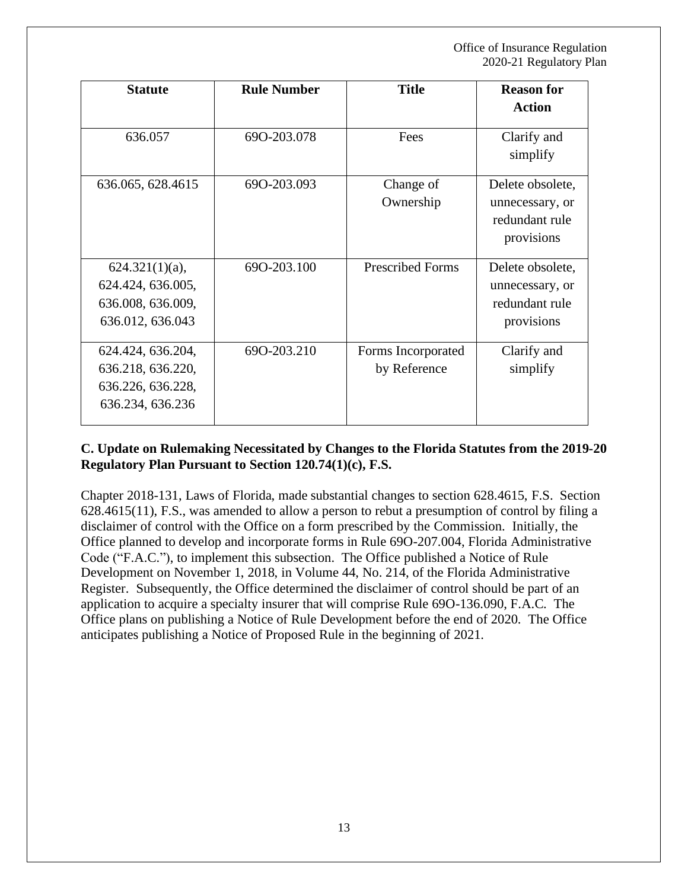| <b>Statute</b>                                                                  | <b>Rule Number</b> | <b>Title</b>                       | <b>Reason for</b><br><b>Action</b>                                  |
|---------------------------------------------------------------------------------|--------------------|------------------------------------|---------------------------------------------------------------------|
| 636.057                                                                         | 690-203.078        | Fees                               | Clarify and<br>simplify                                             |
| 636.065, 628.4615                                                               | 690-203.093        | Change of<br>Ownership             | Delete obsolete,<br>unnecessary, or<br>redundant rule<br>provisions |
| $624.321(1)(a)$ ,<br>624.424, 636.005,<br>636.008, 636.009,<br>636.012, 636.043 | 690-203.100        | <b>Prescribed Forms</b>            | Delete obsolete,<br>unnecessary, or<br>redundant rule<br>provisions |
| 624.424, 636.204,<br>636.218, 636.220,<br>636.226, 636.228,<br>636.234, 636.236 | 690-203.210        | Forms Incorporated<br>by Reference | Clarify and<br>simplify                                             |

#### **C. Update on Rulemaking Necessitated by Changes to the Florida Statutes from the 2019-20 Regulatory Plan Pursuant to Section 120.74(1)(c), F.S.**

Chapter 2018-131, Laws of Florida, made substantial changes to section 628.4615, F.S. Section 628.4615(11), F.S., was amended to allow a person to rebut a presumption of control by filing a disclaimer of control with the Office on a form prescribed by the Commission. Initially, the Office planned to develop and incorporate forms in Rule 69O-207.004, Florida Administrative Code ("F.A.C."), to implement this subsection. The Office published a Notice of Rule Development on November 1, 2018, in Volume 44, No. 214, of the Florida Administrative Register. Subsequently, the Office determined the disclaimer of control should be part of an application to acquire a specialty insurer that will comprise Rule 69O-136.090, F.A.C. The Office plans on publishing a Notice of Rule Development before the end of 2020. The Office anticipates publishing a Notice of Proposed Rule in the beginning of 2021.